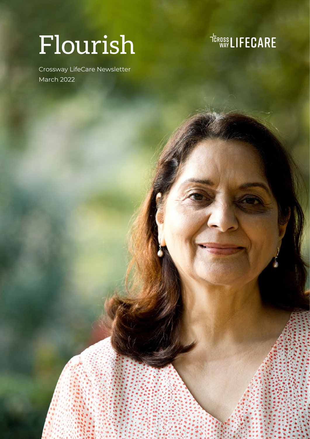# Flourish

Crossway LifeCare Newsletter March 2022

<sup>TEROSS</sup>LIFECARE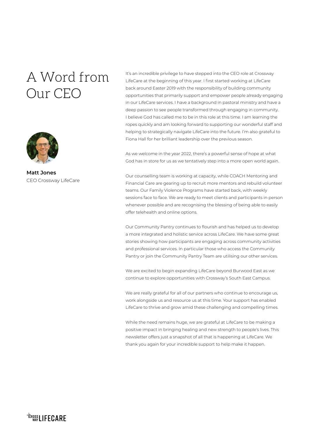# A Word from Our CEO



**Matt Jones** CEO Crossway LifeCare

It's an incredible privilege to have stepped into the CEO role at Crossway LifeCare at the beginning of this year. I first started working at LifeCare back around Easter 2019 with the responsibility of building community opportunities that primarily support and empower people already engaging in our LifeCare services. I have a background in pastoral ministry and have a deep passion to see people transformed through engaging in community. I believe God has called me to be in this role at this time. I am learning the ropes quickly and am looking forward to supporting our wonderful staff and helping to strategically navigate LifeCare into the future. I'm also grateful to Fiona Hall for her brilliant leadership over the previous season.

As we welcome in the year 2022, there's a powerful sense of hope at what God has in store for us as we tentatively step into a more open world again.

Our counselling team is working at capacity, while COACH Mentoring and Financial Care are gearing up to recruit more mentors and rebuild volunteer teams. Our Family Violence Programs have started back, with weekly sessions face to face. We are ready to meet clients and participants in person whenever possible and are recognising the blessing of being able to easily offer telehealth and online options.

Our Community Pantry continues to flourish and has helped us to develop a more integrated and holistic service across LifeCare. We have some great stories showing how participants are engaging across community activities and professional services. In particular those who access the Community Pantry or join the Community Pantry Team are utilising our other services.

We are excited to begin expanding LifeCare beyond Burwood East as we continue to explore opportunities with Crossway's South East Campus.

We are really grateful for all of our partners who continue to encourage us, work alongside us and resource us at this time. Your support has enabled LifeCare to thrive and grow amid these challenging and compelling times.

While the need remains huge, we are grateful at LifeCare to be making a positive impact in bringing healing and new strength to people's lives. This newsletter offers just a snapshot of all that is happening at LifeCare. We thank you again for your incredible support to help make it happen.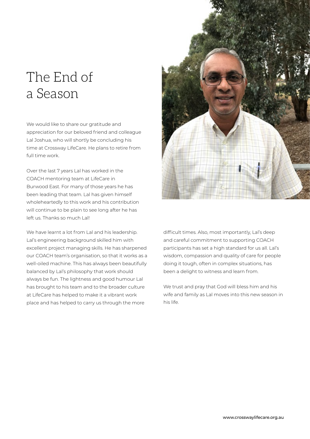# The End of a Season

We would like to share our gratitude and appreciation for our beloved friend and colleague Lal Joshua, who will shortly be concluding his time at Crossway LifeCare. He plans to retire from full time work.

Over the last 7 years Lal has worked in the COACH mentoring team at LifeCare in Burwood East. For many of those years he has been leading that team. Lal has given himself wholeheartedly to this work and his contribution will continue to be plain to see long after he has left us. Thanks so much Lal!

We have learnt a lot from Lal and his leadership. Lal's engineering background skilled him with excellent project managing skills. He has sharpened our COACH team's organisation, so that it works as a well-oiled machine. This has always been beautifully balanced by Lal's philosophy that work should always be fun. The lightness and good humour Lal has brought to his team and to the broader culture at LifeCare has helped to make it a vibrant work place and has helped to carry us through the more



difficult times. Also, most importantly, Lal's deep and careful commitment to supporting COACH participants has set a high standard for us all. Lal's wisdom, compassion and quality of care for people doing it tough, often in complex situations, has been a delight to witness and learn from.

We trust and pray that God will bless him and his wife and family as Lal moves into this new season in his life.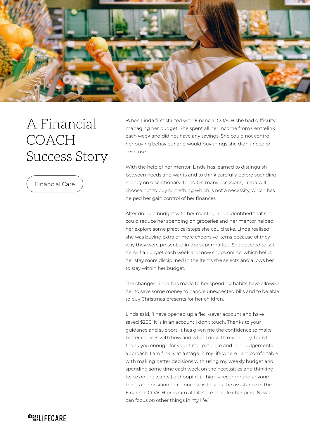

# A Financial COACH Success Story

Financial Care

When Linda first started with Financial COACH she had difficulty managing her budget. She spent all her income from Centrelink each week and did not have any savings. She could not control her buying behaviour and would buy things she didn't need or even use.

With the help of her mentor, Linda has learned to distinguish between needs and wants and to think carefully before spending money on discretionary items. On many occasions, Linda will choose not to buy something which is not a necessity, which has helped her gain control of her finances.

After doing a budget with her mentor, Linda identified that she could reduce her spending on groceries and her mentor helped her explore some practical steps she could take. Linda realised she was buying extra or more expensive items because of they way they were presented in the supermarket. She decided to set herself a budget each week and now shops online, which helps her stay more disciplined in the items she selects and allows her to stay within her budget.

The changes Linda has made to her spending habits have allowed her to save some money to handle unexpected bills and to be able to buy Christmas presents for her children.

Linda said, "I have opened up a flexi-saver account and have saved \$280. It is in an account I don't touch. Thanks to your guidance and support, it has given me the confidence to make better choices with how and what I do with my money. I can't thank you enough for your time, patience and non-judgemental approach. I am finally at a stage in my life where I am comfortable with making better decisions with using my weekly budget and spending some time each week on the necessities and thinking twice on the wants (ie shopping). I highly recommend anyone that is in a position that I once was to seek the assistance of the Financial COACH program at LifeCare. It is life changing. Now I can focus on other things in my life."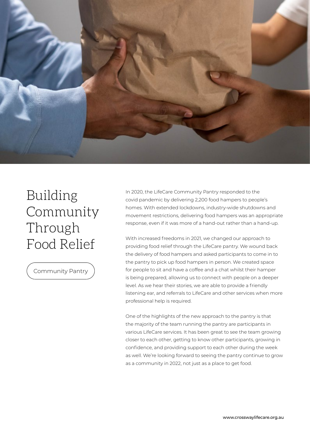

# Building Community Through Food Relief

Community Pantry

In 2020, the LifeCare Community Pantry responded to the covid pandemic by delivering 2,200 food hampers to people's homes. With extended lockdowns, industry-wide shutdowns and movement restrictions, delivering food hampers was an appropriate response, even if it was more of a hand-out rather than a hand-up.

With increased freedoms in 2021, we changed our approach to providing food relief through the LifeCare pantry. We wound back the delivery of food hampers and asked participants to come in to the pantry to pick up food hampers in person. We created space for people to sit and have a coffee and a chat whilst their hamper is being prepared, allowing us to connect with people on a deeper level. As we hear their stories, we are able to provide a friendly listening ear, and referrals to LifeCare and other services when more professional help is required.

One of the highlights of the new approach to the pantry is that the majority of the team running the pantry are participants in various LifeCare services. It has been great to see the team growing closer to each other, getting to know other participants, growing in confidence, and providing support to each other during the week as well. We're looking forward to seeing the pantry continue to grow as a community in 2022, not just as a place to get food.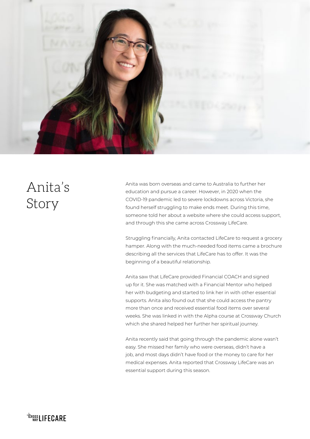

# Anita's Story

Anita was born overseas and came to Australia to further her education and pursue a career. However, in 2020 when the COVID-19 pandemic led to severe lockdowns across Victoria, she found herself struggling to make ends meet. During this time, someone told her about a website where she could access support, and through this she came across Crossway LifeCare.

Struggling financially, Anita contacted LifeCare to request a grocery hamper. Along with the much-needed food items came a brochure describing all the services that LifeCare has to offer. It was the beginning of a beautiful relationship.

Anita saw that LifeCare provided Financial COACH and signed up for it. She was matched with a Financial Mentor who helped her with budgeting and started to link her in with other essential supports. Anita also found out that she could access the pantry more than once and received essential food items over several weeks. She was linked in with the Alpha course at Crossway Church which she shared helped her further her spiritual journey.

Anita recently said that going through the pandemic alone wasn't easy. She missed her family who were overseas, didn't have a job, and most days didn't have food or the money to care for her medical expenses. Anita reported that Crossway LifeCare was an essential support during this season.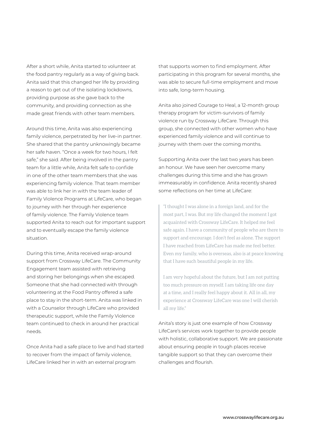After a short while, Anita started to volunteer at the food pantry regularly as a way of giving back. Anita said that this changed her life by providing a reason to get out of the isolating lockdowns, providing purpose as she gave back to the community, and providing connection as she made great friends with other team members.

Around this time, Anita was also experiencing family violence, perpetrated by her live-in partner. She shared that the pantry unknowingly became her safe haven. "Once a week for two hours, I felt safe," she said. After being involved in the pantry team for a little while, Anita felt safe to confide in one of the other team members that she was experiencing family violence. That team member was able to link her in with the team leader of Family Violence Programs at LifeCare, who began to journey with her through her experience of family violence. The Family Violence team supported Anita to reach out for important support and to eventually escape the family violence situation.

During this time, Anita received wrap-around support from Crossway LifeCare. The Community Engagement team assisted with retrieving and storing her belongings when she escaped. Someone that she had connected with through volunteering at the Food Pantry offered a safe place to stay in the short-term. Anita was linked in with a Counselor through LifeCare who provided therapeutic support, while the Family Violence team continued to check in around her practical needs.

Once Anita had a safe place to live and had started to recover from the impact of family violence, LifeCare linked her in with an external program

that supports women to find employment. After participating in this program for several months, she was able to secure full-time employment and move into safe, long-term housing.

Anita also joined Courage to Heal, a 12-month group therapy program for victim-survivors of family violence run by Crossway LifeCare. Through this group, she connected with other women who have experienced family violence and will continue to journey with them over the coming months.

Supporting Anita over the last two years has been an honour. We have seen her overcome many challenges during this time and she has grown immeasurably in confidence. Anita recently shared some reflections on her time at LifeCare:

"I thought I was alone in a foreign land, and for the most part, I was. But my life changed the moment I got acquainted with Crossway LifeCare. It helped me feel safe again. I have a community of people who are there to support and encourage. I don't feel as alone. The support I have reached from LifeCare has made me feel better. Even my family, who is overseas, also is at peace knowing that I have such beautiful people in my life.

I am very hopeful about the future, but I am not putting too much pressure on myself. I am taking life one day at a time, and I really feel happy about it. All in all, my experience at Crossway LifeCare was one I will cherish all my life."

Anita's story is just one example of how Crossway LifeCare's services work together to provide people with holistic, collaborative support. We are passionate about ensuring people in tough places receive tangible support so that they can overcome their challenges and flourish.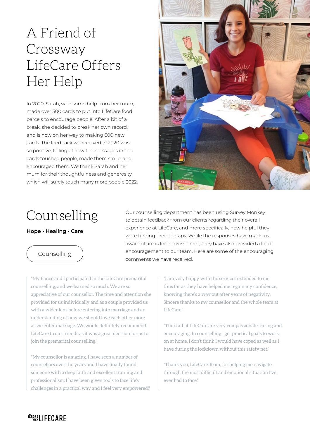# A Friend of Crossway LifeCare Offers Her Help

In 2020, Sarah, with some help from her mum, made over 500 cards to put into LifeCare food parcels to encourage people. After a bit of a break, she decided to break her own record, and is now on her way to making 600 new cards. The feedback we received in 2020 was so positive, telling of how the messages in the cards touched people, made them smile, and encouraged them. We thank Sarah and her mum for their thoughtfulness and generosity, which will surely touch many more people 2022.



## Counselling

#### **Hope • Healing • Care**

#### Counselling

Our counselling department has been using Survey Monkey to obtain feedback from our clients regarding their overall experience at LifeCare, and more specifically, how helpful they were finding their therapy. While the responses have made us aware of areas for improvement, they have also provided a lot of encouragement to our team. Here are some of the encouraging comments we have received.

"My fiancé and I participated in the LifeCare premarital counselling, and we learned so much. We are so appreciative of our counsellor. The time and attention she provided for us individually and as a couple provided us with a wider lens before entering into marriage and an understanding of how we should love each other more as we enter marriage. We would definitely recommend LifeCare to our friends as it was a great decision for us to join the premarital counselling."

"My counsellor is amazing. I have seen a number of counsellors over the years and I have finally found someone with a deep faith and excellent training and professionalism. I have been given tools to face life's challenges in a practical way and I feel very empowered." "I am very happy with the services extended to me thus far as they have helped me regain my confidence, knowing there's a way out after years of negativity. Sincere thanks to my counsellor and the whole team at LifeCare."

"The staff at LifeCare are very compassionate, caring and encouraging. In counselling I get practical goals to work on at home. I don't think I would have coped as well as I have during the lockdown without this safety net."

"Thank you, LifeCare Team, for helping me navigate through the most difficult and emotional situation I've ever had to face."

#### <sup>TEROSS</sup> LIFECARE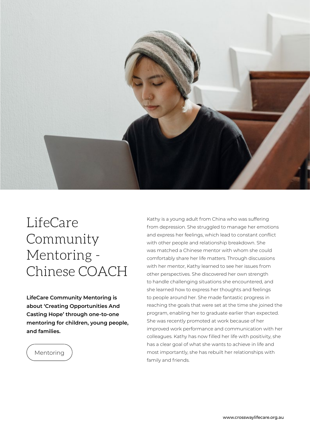

### LifeCare Community Mentoring - Chinese COACH

**LifeCare Community Mentoring is about 'Creating Opportunities And Casting Hope' through one-to-one mentoring for children, young people, and families.**

#### Mentoring

Kathy is a young adult from China who was suffering from depression. She struggled to manage her emotions and express her feelings, which lead to constant conflict with other people and relationship breakdown. She was matched a Chinese mentor with whom she could comfortably share her life matters. Through discussions with her mentor, Kathy learned to see her issues from other perspectives. She discovered her own strength to handle challenging situations she encountered, and she learned how to express her thoughts and feelings to people around her. She made fantastic progress in reaching the goals that were set at the time she joined the program, enabling her to graduate earlier than expected. She was recently promoted at work because of her improved work performance and communication with her colleagues. Kathy has now filled her life with positivity, she has a clear goal of what she wants to achieve in life and most importantly, she has rebuilt her relationships with family and friends.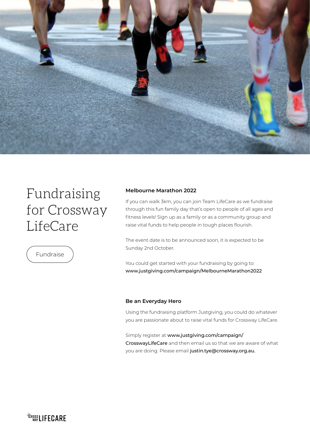

## Fundraising for Crossway LifeCare



#### **Melbourne Marathon 2022**

If you can walk 3km, you can join Team LifeCare as we fundraise through this fun family day that's open to people of all ages and fitness levels! Sign up as a family or as a community group and raise vital funds to help people in tough places flourish.

The event date is to be announced soon, it is expected to be Sunday 2nd October.

You could get started with your fundraising by going to: www.justgiving.com/campaign/MelbourneMarathon2022

#### **Be an Everyday Hero**

Using the fundraising platform Justgiving, you could do whatever you are passionate about to raise vital funds for Crossway LifeCare.

Simply register at www.justgiving.com/campaign/ CrosswayLifeCare and then email us so that we are aware of what you are doing. Please email justin.tye@crossway.org.au.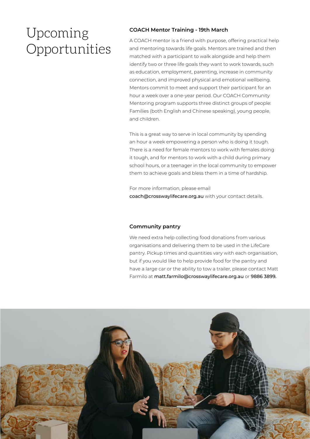## Upcoming Opportunities

#### **COACH Mentor Training - 19th March**

A COACH mentor is a friend with purpose, offering practical help and mentoring towards life goals. Mentors are trained and then matched with a participant to walk alongside and help them identify two or three life goals they want to work towards, such as education, employment, parenting, increase in community connection, and improved physical and emotional wellbeing. Mentors commit to meet and support their participant for an hour a week over a one-year period. Our COACH Community Mentoring program supports three distinct groups of people: Families (both English and Chinese speaking), young people, and children.

This is a great way to serve in local community by spending an hour a week empowering a person who is doing it tough. There is a need for female mentors to work with females doing it tough, and for mentors to work with a child during primary school hours, or a teenager in the local community to empower them to achieve goals and bless them in a time of hardship.

For more information, please email coach@crosswaylifecare.org.au with your contact details.

#### **Community pantry**

We need extra help collecting food donations from various organisations and delivering them to be used in the LifeCare pantry. Pickup times and quantities vary with each organisation, but if you would like to help provide food for the pantry and have a large car or the ability to tow a trailer, please contact Matt Farmilo at matt.farmilo@crosswaylifecare.org.au or 9886 3899.